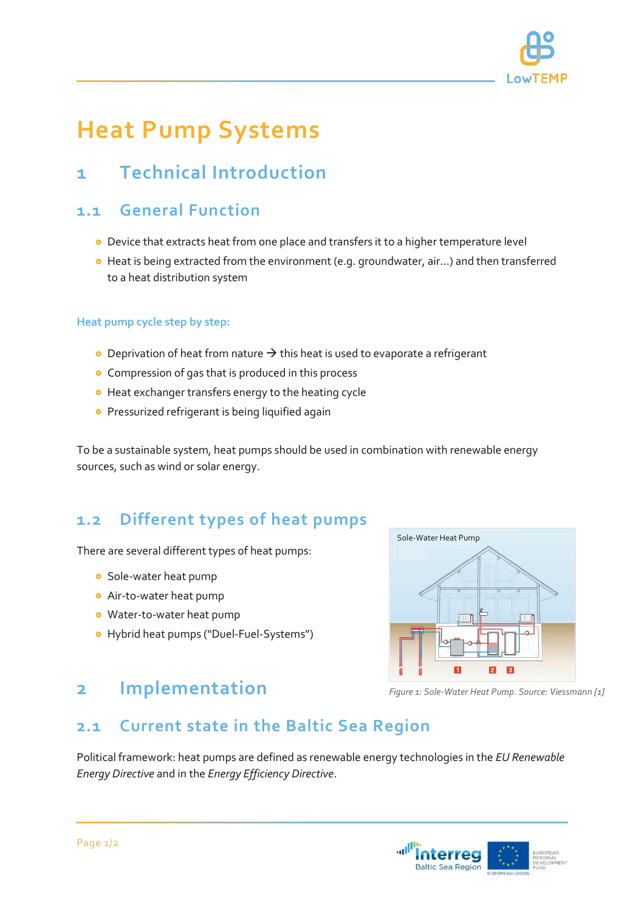

# **Heat Pump Systems**

## **1 Technical Introduction**

#### **1.1 General Function**

- Device that extracts heat from one place and transfers it to a higher temperature level
- Heat is being extracted from the environment (e.g. groundwater, air...) and then transferred to a heat distribution system

#### **Heat pump cycle step by step:**

- $\bullet$  Deprivation of heat from nature  $\rightarrow$  this heat is used to evaporate a refrigerant
- **•** Compression of gas that is produced in this process
- **•** Heat exchanger transfers energy to the heating cycle
- **•** Pressurized refrigerant is being liquified again

To be a sustainable system, heat pumps should be used in combination with renewable energy sources, such as wind or solar energy.

#### **1.2 Different types of heat pumps**

There are several different types of heat pumps:

- **o** Sole-water heat pump
- Air-to-water heat pump
- **•** Water-to-water heat pump
- Hybrid heat pumps ("Duel-Fuel-Systems")



### **2 Implementation**

*Figure 1: Sole-Water Heat Pump. Source: Viessmann [1]*

#### **2.1 Current state in the Baltic Sea Region**

Political framework: heat pumps are defined as renewable energy technologies in the *EU Renewable Energy Directive* and in the *Energy Efficiency Directive*.